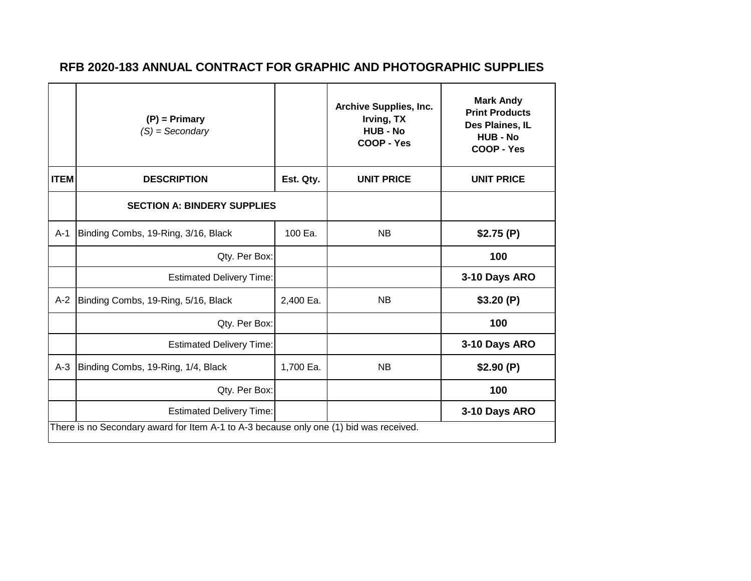|             | $(P)$ = Primary<br>$(S) =$ Secondary                                                   |           | <b>Archive Supplies, Inc.</b><br>Irving, TX<br><b>HUB - No</b><br>COOP - Yes | <b>Mark Andy</b><br><b>Print Products</b><br>Des Plaines, IL<br>HUB - No<br>COOP - Yes |  |  |
|-------------|----------------------------------------------------------------------------------------|-----------|------------------------------------------------------------------------------|----------------------------------------------------------------------------------------|--|--|
| <b>ITEM</b> | <b>DESCRIPTION</b>                                                                     | Est. Qty. | <b>UNIT PRICE</b>                                                            | <b>UNIT PRICE</b>                                                                      |  |  |
|             | <b>SECTION A: BINDERY SUPPLIES</b>                                                     |           |                                                                              |                                                                                        |  |  |
| $A-1$       | Binding Combs, 19-Ring, 3/16, Black                                                    | 100 Ea.   | <b>NB</b>                                                                    | \$2.75(P)                                                                              |  |  |
|             | Qty. Per Box:                                                                          |           |                                                                              | 100                                                                                    |  |  |
|             | <b>Estimated Delivery Time:</b>                                                        |           |                                                                              | 3-10 Days ARO                                                                          |  |  |
| $A-2$       | Binding Combs, 19-Ring, 5/16, Black                                                    | 2,400 Ea. | <b>NB</b>                                                                    | \$3.20(P)                                                                              |  |  |
|             | Qty. Per Box:                                                                          |           |                                                                              | 100                                                                                    |  |  |
|             | <b>Estimated Delivery Time:</b>                                                        |           |                                                                              | 3-10 Days ARO                                                                          |  |  |
| $A-3$       | Binding Combs, 19-Ring, 1/4, Black                                                     | 1,700 Ea. | <b>NB</b>                                                                    | \$2.90(P)                                                                              |  |  |
|             | Qty. Per Box:                                                                          |           |                                                                              | 100                                                                                    |  |  |
|             | <b>Estimated Delivery Time:</b>                                                        |           |                                                                              | 3-10 Days ARO                                                                          |  |  |
|             | There is no Secondary award for Item A-1 to A-3 because only one (1) bid was received. |           |                                                                              |                                                                                        |  |  |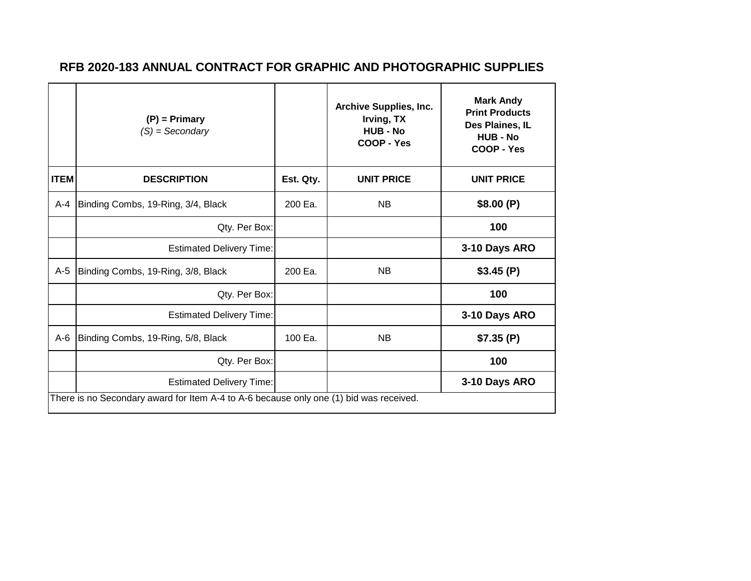|             | $(P)$ = Primary<br>$(S) =$ Secondary                                                   |           | <b>Archive Supplies, Inc.</b><br>Irving, TX<br>HUB - No<br>COOP - Yes | <b>Mark Andy</b><br><b>Print Products</b><br>Des Plaines, IL<br><b>HUB - No</b><br>COOP - Yes |  |  |
|-------------|----------------------------------------------------------------------------------------|-----------|-----------------------------------------------------------------------|-----------------------------------------------------------------------------------------------|--|--|
| <b>ITEM</b> | <b>DESCRIPTION</b>                                                                     | Est. Qty. | <b>UNIT PRICE</b>                                                     | <b>UNIT PRICE</b>                                                                             |  |  |
| $A - 4$     | Binding Combs, 19-Ring, 3/4, Black                                                     | 200 Ea.   | <b>NB</b>                                                             | \$8.00(P)                                                                                     |  |  |
|             | Qty. Per Box:                                                                          |           |                                                                       | 100                                                                                           |  |  |
|             | <b>Estimated Delivery Time:</b>                                                        |           |                                                                       | 3-10 Days ARO                                                                                 |  |  |
| $A-5$       | Binding Combs, 19-Ring, 3/8, Black                                                     | 200 Ea.   | <b>NB</b>                                                             | \$3.45(P)                                                                                     |  |  |
|             | Qty. Per Box:                                                                          |           |                                                                       | 100                                                                                           |  |  |
|             | <b>Estimated Delivery Time:</b>                                                        |           |                                                                       | 3-10 Days ARO                                                                                 |  |  |
| $A-6$       | Binding Combs, 19-Ring, 5/8, Black                                                     | 100 Ea.   | <b>NB</b>                                                             | \$7.35(P)                                                                                     |  |  |
|             | Qty. Per Box:                                                                          |           |                                                                       | 100                                                                                           |  |  |
|             | <b>Estimated Delivery Time:</b>                                                        |           |                                                                       | 3-10 Days ARO                                                                                 |  |  |
|             | There is no Secondary award for Item A-4 to A-6 because only one (1) bid was received. |           |                                                                       |                                                                                               |  |  |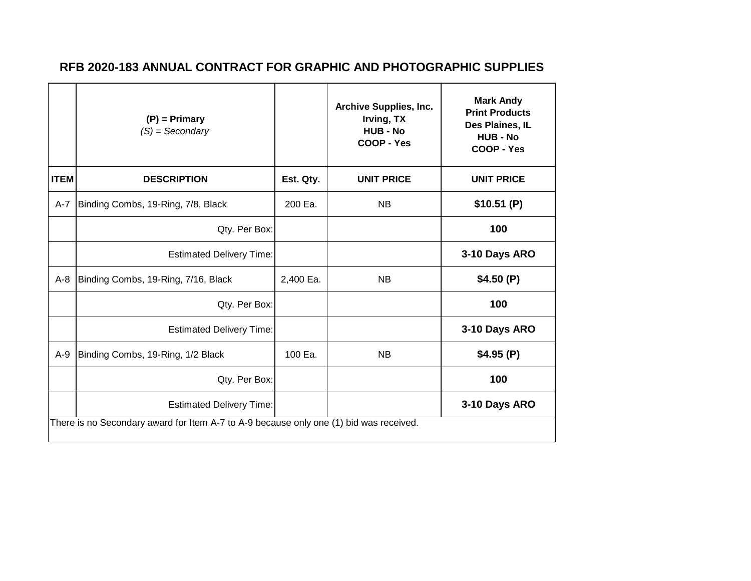|             | $(P)$ = Primary<br>$(S) =$ Secondary                                                   |           | <b>Archive Supplies, Inc.</b><br>Irving, TX<br><b>HUB - No</b><br>COOP - Yes | <b>Mark Andy</b><br><b>Print Products</b><br>Des Plaines, IL<br><b>HUB - No</b><br>COOP - Yes |  |  |
|-------------|----------------------------------------------------------------------------------------|-----------|------------------------------------------------------------------------------|-----------------------------------------------------------------------------------------------|--|--|
| <b>ITEM</b> | <b>DESCRIPTION</b>                                                                     | Est. Qty. | <b>UNIT PRICE</b>                                                            | <b>UNIT PRICE</b>                                                                             |  |  |
| $A-7$       | Binding Combs, 19-Ring, 7/8, Black                                                     | 200 Ea.   | <b>NB</b>                                                                    | \$10.51(P)                                                                                    |  |  |
|             | Qty. Per Box:                                                                          |           |                                                                              | 100                                                                                           |  |  |
|             | <b>Estimated Delivery Time:</b>                                                        |           |                                                                              | 3-10 Days ARO                                                                                 |  |  |
| $A-8$       | Binding Combs, 19-Ring, 7/16, Black                                                    | 2,400 Ea. | <b>NB</b>                                                                    | \$4.50(P)                                                                                     |  |  |
|             | Qty. Per Box:                                                                          |           |                                                                              | 100                                                                                           |  |  |
|             | <b>Estimated Delivery Time:</b>                                                        |           |                                                                              | 3-10 Days ARO                                                                                 |  |  |
| $A-9$       | Binding Combs, 19-Ring, 1/2 Black                                                      | 100 Ea.   | <b>NB</b>                                                                    | \$4.95(P)                                                                                     |  |  |
|             | Qty. Per Box:                                                                          |           |                                                                              | 100                                                                                           |  |  |
|             | <b>Estimated Delivery Time:</b>                                                        |           |                                                                              | 3-10 Days ARO                                                                                 |  |  |
|             | There is no Secondary award for Item A-7 to A-9 because only one (1) bid was received. |           |                                                                              |                                                                                               |  |  |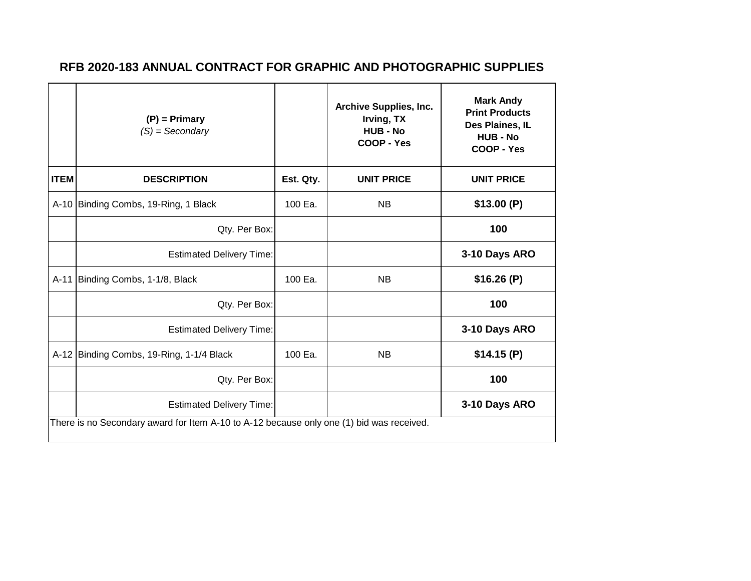|             | $(P)$ = Primary<br>$(S) =$ Secondary                                                     |           | <b>Archive Supplies, Inc.</b><br>Irving, TX<br>HUB - No<br>COOP - Yes | <b>Mark Andy</b><br><b>Print Products</b><br>Des Plaines, IL<br><b>HUB - No</b><br>COOP - Yes |  |  |
|-------------|------------------------------------------------------------------------------------------|-----------|-----------------------------------------------------------------------|-----------------------------------------------------------------------------------------------|--|--|
| <b>ITEM</b> | <b>DESCRIPTION</b>                                                                       | Est. Qty. | <b>UNIT PRICE</b>                                                     | <b>UNIT PRICE</b>                                                                             |  |  |
|             | A-10 Binding Combs, 19-Ring, 1 Black                                                     | 100 Ea.   | <b>NB</b>                                                             | \$13.00(P)                                                                                    |  |  |
|             | Qty. Per Box:                                                                            |           |                                                                       | 100                                                                                           |  |  |
|             | <b>Estimated Delivery Time:</b>                                                          |           |                                                                       | 3-10 Days ARO                                                                                 |  |  |
| $A-11$      | Binding Combs, 1-1/8, Black                                                              | 100 Ea.   | <b>NB</b>                                                             | \$16.26(P)                                                                                    |  |  |
|             | Qty. Per Box:                                                                            |           |                                                                       | 100                                                                                           |  |  |
|             | <b>Estimated Delivery Time:</b>                                                          |           |                                                                       | 3-10 Days ARO                                                                                 |  |  |
|             | A-12 Binding Combs, 19-Ring, 1-1/4 Black                                                 | 100 Ea.   | <b>NB</b>                                                             | \$14.15(P)                                                                                    |  |  |
|             | Qty. Per Box:                                                                            |           |                                                                       | 100                                                                                           |  |  |
|             | <b>Estimated Delivery Time:</b>                                                          |           |                                                                       | 3-10 Days ARO                                                                                 |  |  |
|             | There is no Secondary award for Item A-10 to A-12 because only one (1) bid was received. |           |                                                                       |                                                                                               |  |  |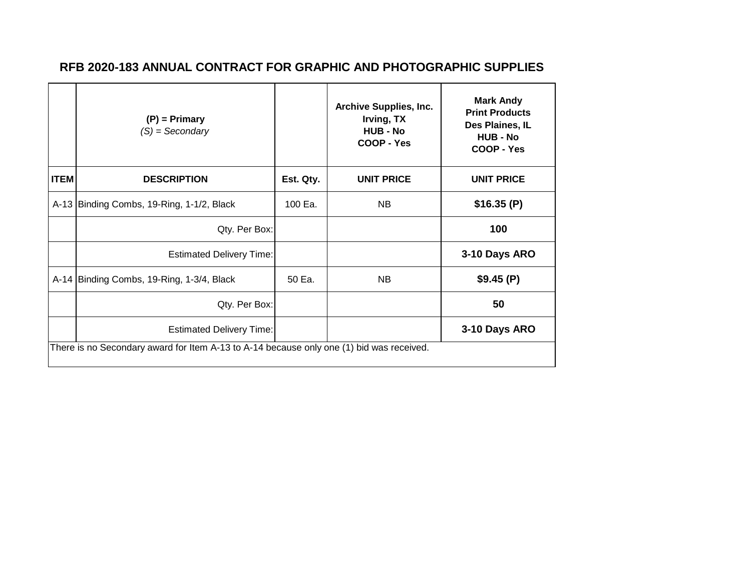|             | $(P)$ = Primary<br>$(S) =$ Secondary                                                     |           | <b>Archive Supplies, Inc.</b><br>Irving, TX<br><b>HUB - No</b><br>COOP - Yes | <b>Mark Andy</b><br><b>Print Products</b><br>Des Plaines, IL<br><b>HUB - No</b><br>COOP - Yes |  |  |  |
|-------------|------------------------------------------------------------------------------------------|-----------|------------------------------------------------------------------------------|-----------------------------------------------------------------------------------------------|--|--|--|
| <b>ITEM</b> | <b>DESCRIPTION</b>                                                                       | Est. Qty. | <b>UNIT PRICE</b>                                                            | <b>UNIT PRICE</b>                                                                             |  |  |  |
|             | A-13 Binding Combs, 19-Ring, 1-1/2, Black                                                | 100 Ea.   | NB.                                                                          | \$16.35(P)                                                                                    |  |  |  |
|             | Qty. Per Box:                                                                            |           |                                                                              | 100                                                                                           |  |  |  |
|             | <b>Estimated Delivery Time:</b>                                                          |           |                                                                              | 3-10 Days ARO                                                                                 |  |  |  |
|             | A-14 Binding Combs, 19-Ring, 1-3/4, Black                                                | 50 Ea.    | <b>NB</b>                                                                    | \$9.45(P)                                                                                     |  |  |  |
|             | Qty. Per Box:                                                                            |           |                                                                              | 50                                                                                            |  |  |  |
|             | <b>Estimated Delivery Time:</b>                                                          |           |                                                                              | 3-10 Days ARO                                                                                 |  |  |  |
|             | There is no Secondary award for Item A-13 to A-14 because only one (1) bid was received. |           |                                                                              |                                                                                               |  |  |  |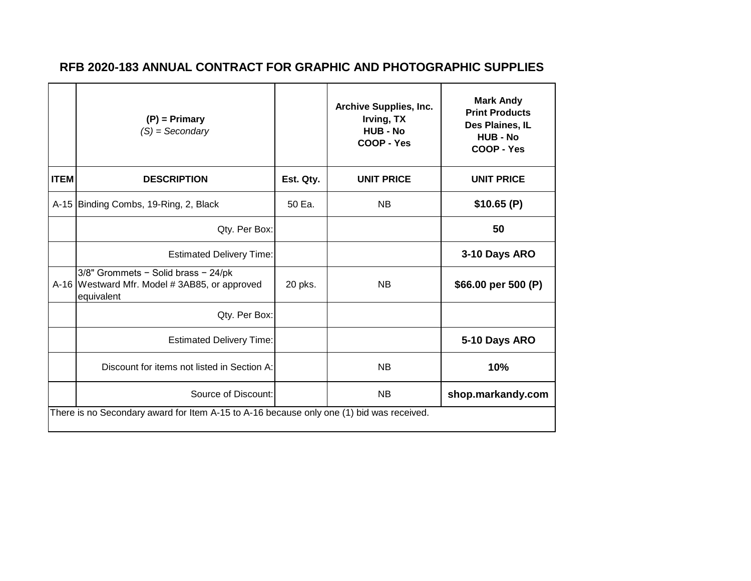|             | $(P)$ = Primary<br>$(S) =$ Secondary                                                              |           | <b>Archive Supplies, Inc.</b><br>Irving, TX<br><b>HUB - No</b><br>COOP - Yes | <b>Mark Andy</b><br><b>Print Products</b><br>Des Plaines, IL<br><b>HUB - No</b><br>COOP - Yes |  |  |
|-------------|---------------------------------------------------------------------------------------------------|-----------|------------------------------------------------------------------------------|-----------------------------------------------------------------------------------------------|--|--|
| <b>ITEM</b> | <b>DESCRIPTION</b>                                                                                | Est. Qty. | <b>UNIT PRICE</b>                                                            | <b>UNIT PRICE</b>                                                                             |  |  |
|             | A-15 Binding Combs, 19-Ring, 2, Black                                                             | 50 Ea.    | <b>NB</b>                                                                    | \$10.65(P)                                                                                    |  |  |
|             | Qty. Per Box:                                                                                     |           |                                                                              | 50                                                                                            |  |  |
|             | <b>Estimated Delivery Time:</b>                                                                   |           |                                                                              | 3-10 Days ARO                                                                                 |  |  |
|             | 3/8" Grommets - Solid brass - 24/pk<br>A-16 Westward Mfr. Model #3AB85, or approved<br>equivalent | 20 pks.   | <b>NB</b>                                                                    | \$66.00 per 500 (P)                                                                           |  |  |
|             | Qty. Per Box:                                                                                     |           |                                                                              |                                                                                               |  |  |
|             | <b>Estimated Delivery Time:</b>                                                                   |           |                                                                              | 5-10 Days ARO                                                                                 |  |  |
|             | Discount for items not listed in Section A:                                                       |           | <b>NB</b>                                                                    | 10%                                                                                           |  |  |
|             | Source of Discount:                                                                               |           | <b>NB</b>                                                                    | shop.markandy.com                                                                             |  |  |
|             | There is no Secondary award for Item A-15 to A-16 because only one (1) bid was received.          |           |                                                                              |                                                                                               |  |  |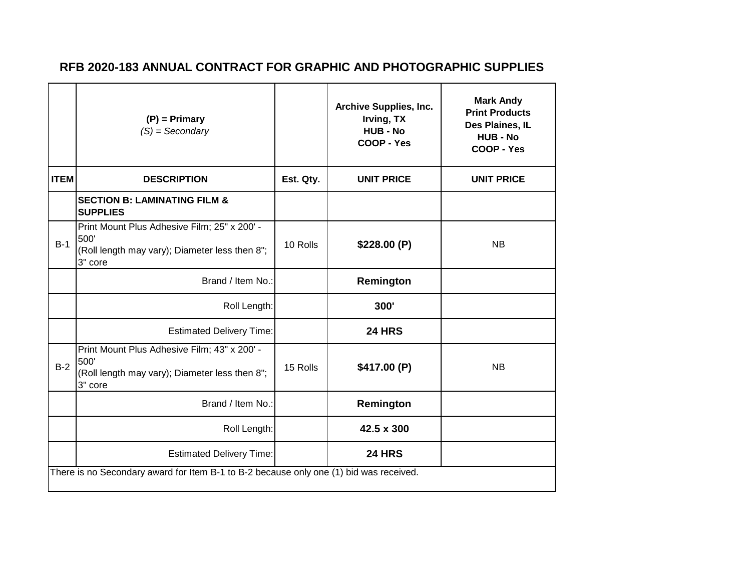|             | $(P)$ = Primary<br>$(S) =$ Secondary                                                                              |           | <b>Archive Supplies, Inc.</b><br>Irving, TX<br><b>HUB - No</b><br>COOP - Yes | <b>Mark Andy</b><br><b>Print Products</b><br>Des Plaines, IL<br><b>HUB - No</b><br>COOP - Yes |  |  |
|-------------|-------------------------------------------------------------------------------------------------------------------|-----------|------------------------------------------------------------------------------|-----------------------------------------------------------------------------------------------|--|--|
| <b>ITEM</b> | <b>DESCRIPTION</b>                                                                                                | Est. Qty. | <b>UNIT PRICE</b>                                                            | <b>UNIT PRICE</b>                                                                             |  |  |
|             | <b>SECTION B: LAMINATING FILM &amp;</b><br><b>SUPPLIES</b>                                                        |           |                                                                              |                                                                                               |  |  |
| $B-1$       | Print Mount Plus Adhesive Film; 25" x 200' -<br>500'<br>(Roll length may vary); Diameter less then 8";<br>3" core | 10 Rolls  | \$228.00(P)                                                                  | <b>NB</b>                                                                                     |  |  |
|             | Brand / Item No.:                                                                                                 |           | Remington                                                                    |                                                                                               |  |  |
|             | Roll Length:                                                                                                      |           | 300'                                                                         |                                                                                               |  |  |
|             | <b>Estimated Delivery Time:</b>                                                                                   |           | <b>24 HRS</b>                                                                |                                                                                               |  |  |
| $B-2$       | Print Mount Plus Adhesive Film; 43" x 200' -<br>500'<br>(Roll length may vary); Diameter less then 8";<br>3" core | 15 Rolls  | \$417.00 (P)                                                                 | <b>NB</b>                                                                                     |  |  |
|             | Brand / Item No.:                                                                                                 |           | Remington                                                                    |                                                                                               |  |  |
|             | Roll Length:                                                                                                      |           | 42.5 x 300                                                                   |                                                                                               |  |  |
|             | <b>Estimated Delivery Time:</b>                                                                                   |           | <b>24 HRS</b>                                                                |                                                                                               |  |  |
|             | There is no Secondary award for Item B-1 to B-2 because only one (1) bid was received.                            |           |                                                                              |                                                                                               |  |  |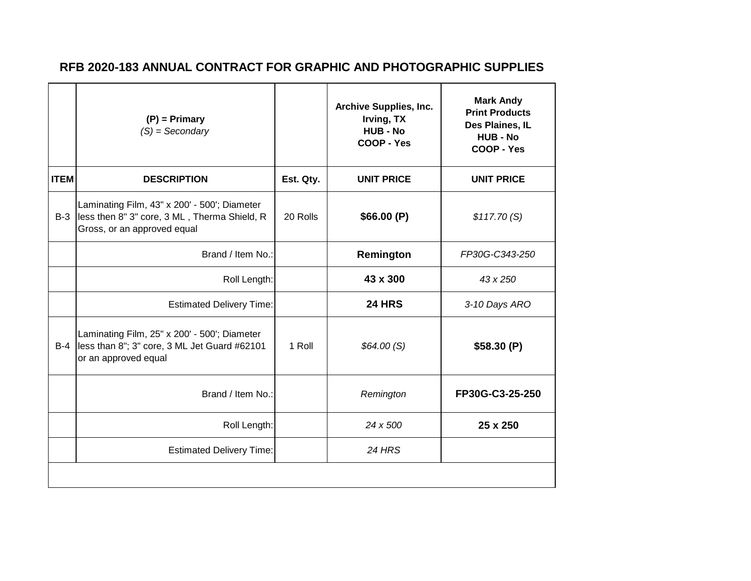|             | $(P)$ = Primary<br>$(S) =$ Secondary                                                                                        |           | <b>Archive Supplies, Inc.</b><br>Irving, TX<br><b>HUB - No</b><br>COOP - Yes | <b>Mark Andy</b><br><b>Print Products</b><br>Des Plaines, IL<br><b>HUB - No</b><br>COOP - Yes |
|-------------|-----------------------------------------------------------------------------------------------------------------------------|-----------|------------------------------------------------------------------------------|-----------------------------------------------------------------------------------------------|
| <b>ITEM</b> | <b>DESCRIPTION</b>                                                                                                          | Est. Qty. | <b>UNIT PRICE</b>                                                            | <b>UNIT PRICE</b>                                                                             |
| $B-3$       | Laminating Film, 43" x 200' - 500'; Diameter<br>less then 8" 3" core, 3 ML, Therma Shield, R<br>Gross, or an approved equal | 20 Rolls  | \$66.00(P)                                                                   | \$117.70(S)                                                                                   |
|             | Brand / Item No.:                                                                                                           |           | Remington                                                                    | FP30G-C343-250                                                                                |
|             | Roll Length:                                                                                                                |           | 43 x 300                                                                     | 43 x 250                                                                                      |
|             | <b>Estimated Delivery Time:</b>                                                                                             |           | <b>24 HRS</b>                                                                | 3-10 Days ARO                                                                                 |
| $B-4$       | Laminating Film, 25" x 200' - 500'; Diameter<br>less than 8"; 3" core, 3 ML Jet Guard #62101<br>or an approved equal        | 1 Roll    | \$64.00(S)                                                                   | \$58.30(P)                                                                                    |
|             | Brand / Item No.:                                                                                                           |           | Remington                                                                    | FP30G-C3-25-250                                                                               |
|             | Roll Length:                                                                                                                |           | 24 x 500                                                                     | 25 x 250                                                                                      |
|             | <b>Estimated Delivery Time:</b>                                                                                             |           | 24 HRS                                                                       |                                                                                               |
|             |                                                                                                                             |           |                                                                              |                                                                                               |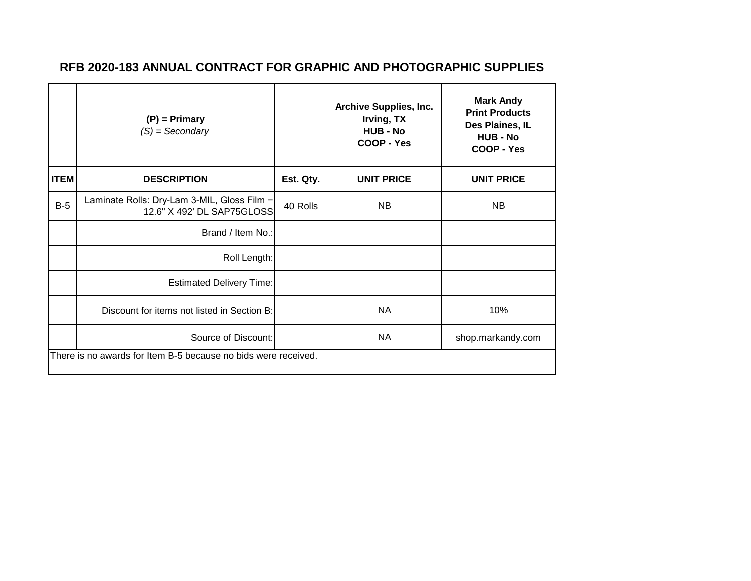|             | $(P)$ = Primary<br>$(S) =$ Secondary                                      |           | <b>Archive Supplies, Inc.</b><br>Irving, TX<br><b>HUB - No</b><br>COOP - Yes | <b>Mark Andy</b><br><b>Print Products</b><br>Des Plaines, IL<br><b>HUB - No</b><br>COOP - Yes |  |  |
|-------------|---------------------------------------------------------------------------|-----------|------------------------------------------------------------------------------|-----------------------------------------------------------------------------------------------|--|--|
| <b>ITEM</b> | <b>DESCRIPTION</b>                                                        | Est. Qty. | <b>UNIT PRICE</b>                                                            | <b>UNIT PRICE</b>                                                                             |  |  |
| $B-5$       | Laminate Rolls: Dry-Lam 3-MIL, Gloss Film -<br>12.6" X 492' DL SAP75GLOSS | 40 Rolls  | <b>NB</b>                                                                    | NB.                                                                                           |  |  |
|             | Brand / Item No.:                                                         |           |                                                                              |                                                                                               |  |  |
|             | Roll Length:                                                              |           |                                                                              |                                                                                               |  |  |
|             | <b>Estimated Delivery Time:</b>                                           |           |                                                                              |                                                                                               |  |  |
|             | Discount for items not listed in Section B:                               |           | <b>NA</b>                                                                    | 10%                                                                                           |  |  |
|             | Source of Discount:                                                       |           | <b>NA</b>                                                                    | shop.markandy.com                                                                             |  |  |
|             | There is no awards for Item B-5 because no bids were received.            |           |                                                                              |                                                                                               |  |  |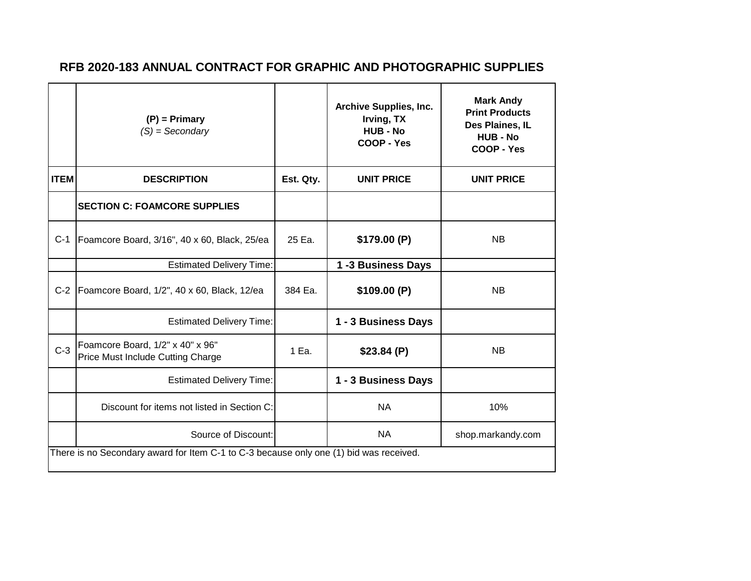|             | $(P)$ = Primary<br>$(S) =$ Secondary                                                   |           | <b>Archive Supplies, Inc.</b><br>Irving, TX<br><b>HUB - No</b><br>COOP - Yes | <b>Mark Andy</b><br><b>Print Products</b><br>Des Plaines, IL<br><b>HUB - No</b><br>COOP - Yes |
|-------------|----------------------------------------------------------------------------------------|-----------|------------------------------------------------------------------------------|-----------------------------------------------------------------------------------------------|
| <b>ITEM</b> | <b>DESCRIPTION</b>                                                                     | Est. Qty. | <b>UNIT PRICE</b>                                                            | <b>UNIT PRICE</b>                                                                             |
|             | <b>SECTION C: FOAMCORE SUPPLIES</b>                                                    |           |                                                                              |                                                                                               |
| $C-1$       | Foamcore Board, 3/16", 40 x 60, Black, 25/ea                                           | 25 Ea.    | \$179.00(P)                                                                  | <b>NB</b>                                                                                     |
|             | <b>Estimated Delivery Time:</b>                                                        |           | 1-3 Business Days                                                            |                                                                                               |
|             | C-2   Foamcore Board, 1/2", 40 x 60, Black, 12/ea                                      | 384 Ea.   | \$109.00(P)                                                                  | <b>NB</b>                                                                                     |
|             | <b>Estimated Delivery Time:</b>                                                        |           | 1 - 3 Business Days                                                          |                                                                                               |
| $C-3$       | Foamcore Board, 1/2" x 40" x 96"<br>Price Must Include Cutting Charge                  | 1 Ea.     | \$23.84(P)                                                                   | <b>NB</b>                                                                                     |
|             | <b>Estimated Delivery Time:</b>                                                        |           | 1 - 3 Business Days                                                          |                                                                                               |
|             | Discount for items not listed in Section C:                                            |           | <b>NA</b>                                                                    | 10%                                                                                           |
|             | Source of Discount:                                                                    |           | <b>NA</b>                                                                    | shop.markandy.com                                                                             |
|             | There is no Secondary award for Item C-1 to C-3 because only one (1) bid was received. |           |                                                                              |                                                                                               |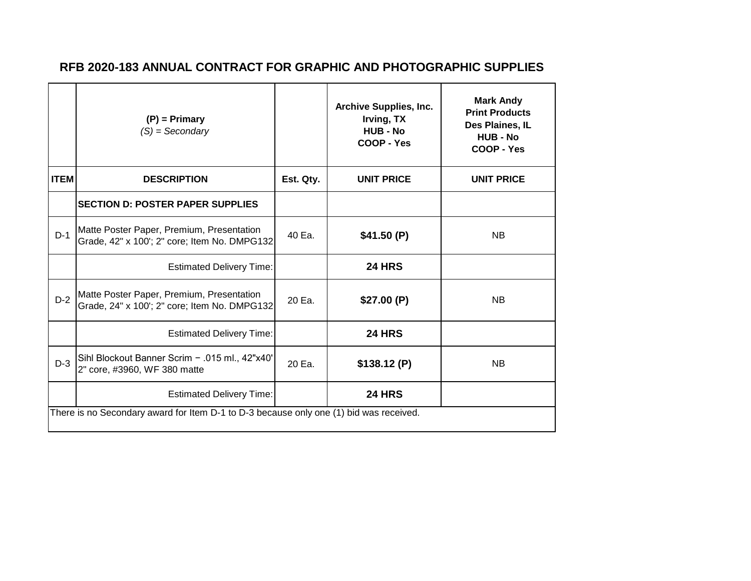|             | $(P)$ = Primary<br>$(S) =$ Secondary                                                      |           | <b>Archive Supplies, Inc.</b><br>Irving, TX<br>HUB - No<br>COOP - Yes | <b>Mark Andy</b><br><b>Print Products</b><br>Des Plaines, IL<br><b>HUB - No</b><br>COOP - Yes |
|-------------|-------------------------------------------------------------------------------------------|-----------|-----------------------------------------------------------------------|-----------------------------------------------------------------------------------------------|
| <b>ITEM</b> | <b>DESCRIPTION</b>                                                                        | Est. Qty. | <b>UNIT PRICE</b>                                                     | <b>UNIT PRICE</b>                                                                             |
|             | <b>SECTION D: POSTER PAPER SUPPLIES</b>                                                   |           |                                                                       |                                                                                               |
| $D-1$       | Matte Poster Paper, Premium, Presentation<br>Grade, 42" x 100'; 2" core; Item No. DMPG132 | 40 Ea.    | \$41.50(P)                                                            | <b>NB</b>                                                                                     |
|             | <b>Estimated Delivery Time:</b>                                                           |           | <b>24 HRS</b>                                                         |                                                                                               |
| $D-2$       | Matte Poster Paper, Premium, Presentation<br>Grade, 24" x 100'; 2" core; Item No. DMPG132 | 20 Ea.    | \$27.00(P)                                                            | <b>NB</b>                                                                                     |
|             | <b>Estimated Delivery Time:</b>                                                           |           | <b>24 HRS</b>                                                         |                                                                                               |
| $D-3$       | Sihl Blockout Banner Scrim - .015 ml., 42"x40"<br>2" core, #3960, WF 380 matte            | 20 Ea.    | \$138.12(P)                                                           | <b>NB</b>                                                                                     |
|             | <b>Estimated Delivery Time:</b>                                                           |           | <b>24 HRS</b>                                                         |                                                                                               |
|             | There is no Secondary award for Item D-1 to D-3 because only one (1) bid was received.    |           |                                                                       |                                                                                               |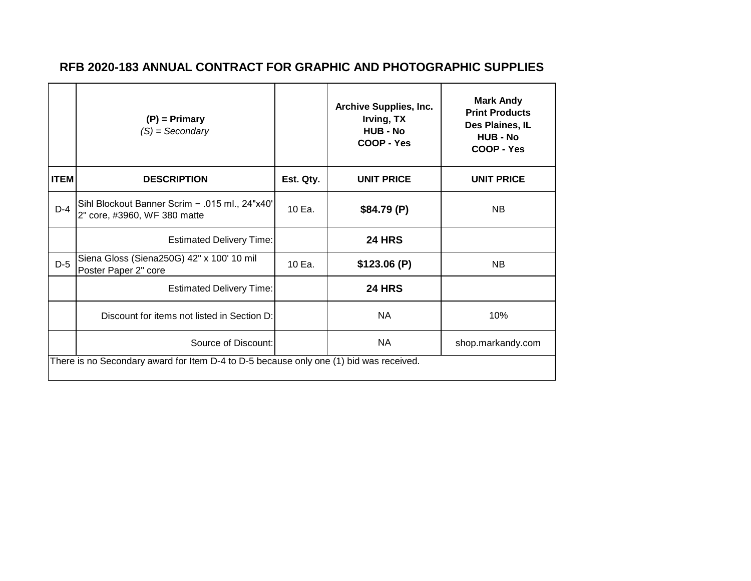|             | $(P)$ = Primary<br>$(S) =$ Secondary                                                   |           | <b>Archive Supplies, Inc.</b><br>Irving, TX<br><b>HUB - No</b><br>COOP - Yes | <b>Mark Andy</b><br><b>Print Products</b><br>Des Plaines, IL<br><b>HUB - No</b><br>COOP - Yes |  |  |
|-------------|----------------------------------------------------------------------------------------|-----------|------------------------------------------------------------------------------|-----------------------------------------------------------------------------------------------|--|--|
| <b>ITEM</b> | <b>DESCRIPTION</b>                                                                     | Est. Qty. | <b>UNIT PRICE</b>                                                            | <b>UNIT PRICE</b>                                                                             |  |  |
| $D-4$       | Sihl Blockout Banner Scrim - .015 ml., 24"x40"<br>2" core, #3960, WF 380 matte         | 10 Ea.    | \$84.79(P)                                                                   | <b>NB</b>                                                                                     |  |  |
|             | <b>Estimated Delivery Time:</b>                                                        |           | <b>24 HRS</b>                                                                |                                                                                               |  |  |
| $D-5$       | Siena Gloss (Siena250G) 42" x 100' 10 mil<br>Poster Paper 2" core                      | 10 Ea.    | \$123.06(P)                                                                  | <b>NB</b>                                                                                     |  |  |
|             | <b>Estimated Delivery Time:</b>                                                        |           | <b>24 HRS</b>                                                                |                                                                                               |  |  |
|             | Discount for items not listed in Section D:                                            |           | <b>NA</b>                                                                    | 10%                                                                                           |  |  |
|             | Source of Discount:                                                                    |           | <b>NA</b>                                                                    | shop.markandy.com                                                                             |  |  |
|             | There is no Secondary award for Item D-4 to D-5 because only one (1) bid was received. |           |                                                                              |                                                                                               |  |  |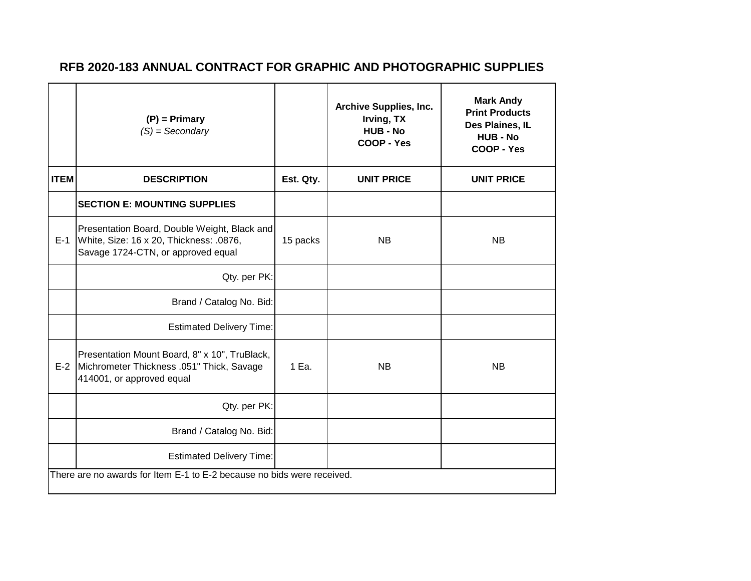|                                                                        | $(P)$ = Primary<br>$(S) =$ Secondary                                                                                          |           | <b>Archive Supplies, Inc.</b><br>Irving, TX<br><b>HUB - No</b><br>COOP - Yes | <b>Mark Andy</b><br><b>Print Products</b><br>Des Plaines, IL<br><b>HUB - No</b><br>COOP - Yes |  |
|------------------------------------------------------------------------|-------------------------------------------------------------------------------------------------------------------------------|-----------|------------------------------------------------------------------------------|-----------------------------------------------------------------------------------------------|--|
| <b>ITEM</b>                                                            | <b>DESCRIPTION</b>                                                                                                            | Est. Qty. | <b>UNIT PRICE</b>                                                            | <b>UNIT PRICE</b>                                                                             |  |
|                                                                        | <b>SECTION E: MOUNTING SUPPLIES</b>                                                                                           |           |                                                                              |                                                                                               |  |
| $E-1$                                                                  | Presentation Board, Double Weight, Black and<br>White, Size: 16 x 20, Thickness: .0876,<br>Savage 1724-CTN, or approved equal | 15 packs  | <b>NB</b>                                                                    | <b>NB</b>                                                                                     |  |
|                                                                        | Qty. per PK:                                                                                                                  |           |                                                                              |                                                                                               |  |
|                                                                        | Brand / Catalog No. Bid:                                                                                                      |           |                                                                              |                                                                                               |  |
|                                                                        | <b>Estimated Delivery Time:</b>                                                                                               |           |                                                                              |                                                                                               |  |
| $E-2$                                                                  | Presentation Mount Board, 8" x 10", TruBlack,<br>Michrometer Thickness .051" Thick, Savage<br>414001, or approved equal       | 1 Ea.     | <b>NB</b>                                                                    | <b>NB</b>                                                                                     |  |
|                                                                        | Qty. per PK:                                                                                                                  |           |                                                                              |                                                                                               |  |
|                                                                        | Brand / Catalog No. Bid:                                                                                                      |           |                                                                              |                                                                                               |  |
|                                                                        | <b>Estimated Delivery Time:</b>                                                                                               |           |                                                                              |                                                                                               |  |
| There are no awards for Item E-1 to E-2 because no bids were received. |                                                                                                                               |           |                                                                              |                                                                                               |  |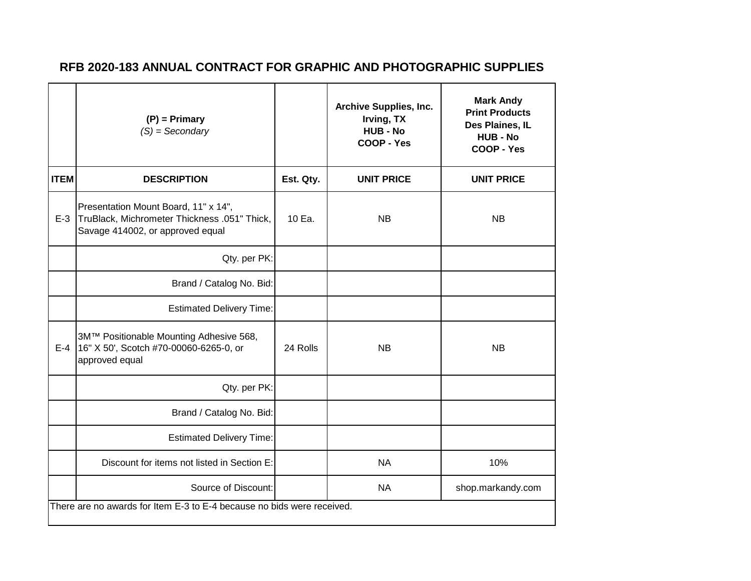|             | $(P)$ = Primary<br>$(S) =$ Secondary                                                                                     |           | <b>Archive Supplies, Inc.</b><br>Irving, TX<br><b>HUB - No</b><br>COOP - Yes | <b>Mark Andy</b><br><b>Print Products</b><br>Des Plaines, IL<br><b>HUB - No</b><br>COOP - Yes |  |  |
|-------------|--------------------------------------------------------------------------------------------------------------------------|-----------|------------------------------------------------------------------------------|-----------------------------------------------------------------------------------------------|--|--|
| <b>ITEM</b> | <b>DESCRIPTION</b>                                                                                                       | Est. Qty. | <b>UNIT PRICE</b>                                                            | <b>UNIT PRICE</b>                                                                             |  |  |
| $E-3$       | Presentation Mount Board, 11" x 14",<br>TruBlack, Michrometer Thickness .051" Thick,<br>Savage 414002, or approved equal | 10 Ea.    | <b>NB</b>                                                                    | <b>NB</b>                                                                                     |  |  |
|             | Qty. per PK:                                                                                                             |           |                                                                              |                                                                                               |  |  |
|             | Brand / Catalog No. Bid:                                                                                                 |           |                                                                              |                                                                                               |  |  |
|             | <b>Estimated Delivery Time:</b>                                                                                          |           |                                                                              |                                                                                               |  |  |
| $E-4$       | 3M™ Positionable Mounting Adhesive 568,<br>16" X 50', Scotch #70-00060-6265-0, or<br>approved equal                      | 24 Rolls  | <b>NB</b>                                                                    | <b>NB</b>                                                                                     |  |  |
|             | Qty. per PK:                                                                                                             |           |                                                                              |                                                                                               |  |  |
|             | Brand / Catalog No. Bid:                                                                                                 |           |                                                                              |                                                                                               |  |  |
|             | <b>Estimated Delivery Time:</b>                                                                                          |           |                                                                              |                                                                                               |  |  |
|             | Discount for items not listed in Section E:                                                                              |           | <b>NA</b>                                                                    | 10%                                                                                           |  |  |
|             | Source of Discount:                                                                                                      |           | <b>NA</b>                                                                    | shop.markandy.com                                                                             |  |  |
|             | There are no awards for Item E-3 to E-4 because no bids were received.                                                   |           |                                                                              |                                                                                               |  |  |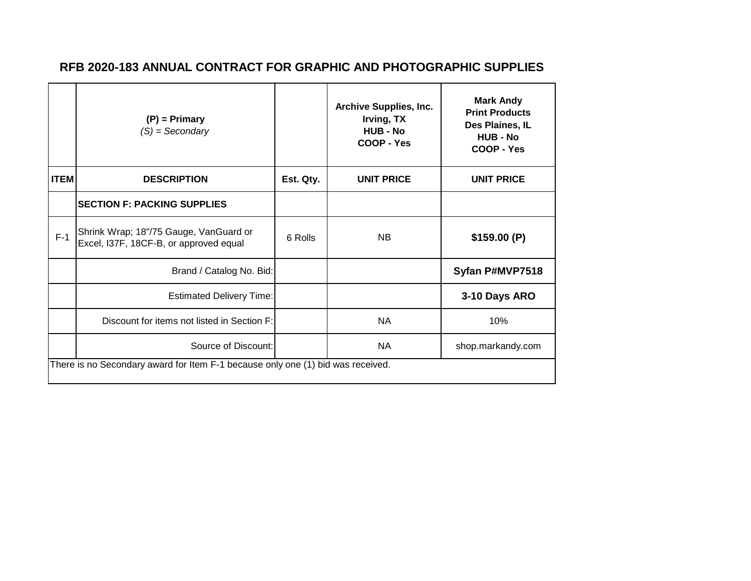|                                                                                 | $(P)$ = Primary<br>$(S) =$ Secondary                                             |           | <b>Archive Supplies, Inc.</b><br>Irving, TX<br><b>HUB - No</b><br>COOP - Yes | <b>Mark Andy</b><br><b>Print Products</b><br>Des Plaines, IL<br><b>HUB - No</b><br>COOP - Yes |  |  |
|---------------------------------------------------------------------------------|----------------------------------------------------------------------------------|-----------|------------------------------------------------------------------------------|-----------------------------------------------------------------------------------------------|--|--|
| <b>ITEM</b>                                                                     | <b>DESCRIPTION</b>                                                               | Est. Qty. | <b>UNIT PRICE</b>                                                            | <b>UNIT PRICE</b>                                                                             |  |  |
|                                                                                 | <b>ISECTION F: PACKING SUPPLIES</b>                                              |           |                                                                              |                                                                                               |  |  |
| $F-1$                                                                           | Shrink Wrap; 18"/75 Gauge, VanGuard or<br>Excel, I37F, 18CF-B, or approved equal | 6 Rolls   | <b>NB</b>                                                                    | \$159.00(P)                                                                                   |  |  |
|                                                                                 | Brand / Catalog No. Bid:                                                         |           |                                                                              | Syfan P#MVP7518                                                                               |  |  |
|                                                                                 | <b>Estimated Delivery Time:</b>                                                  |           |                                                                              | 3-10 Days ARO                                                                                 |  |  |
|                                                                                 | Discount for items not listed in Section F:                                      |           | <b>NA</b>                                                                    | 10%                                                                                           |  |  |
|                                                                                 | Source of Discount:                                                              |           | <b>NA</b>                                                                    | shop.markandy.com                                                                             |  |  |
| There is no Secondary award for Item F-1 because only one (1) bid was received. |                                                                                  |           |                                                                              |                                                                                               |  |  |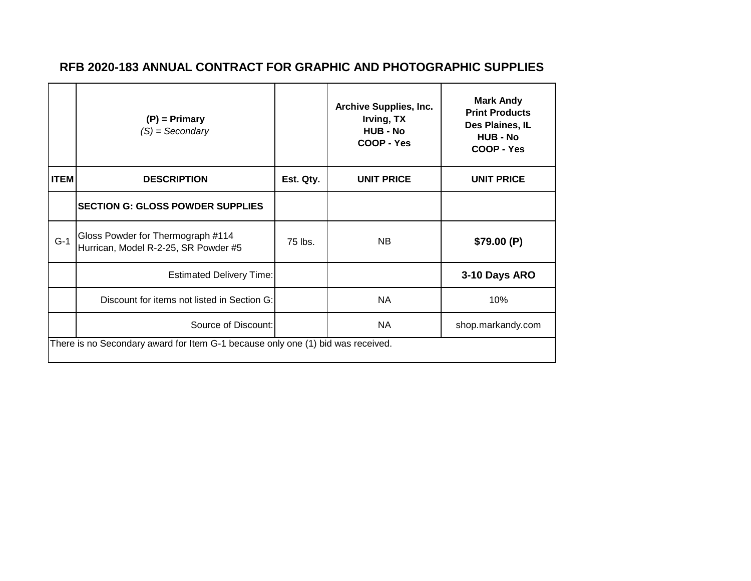|                                                                                 | $(P)$ = Primary<br>$(S) =$ Secondary                                      |           | <b>Archive Supplies, Inc.</b><br>Irving, TX<br><b>HUB - No</b><br>COOP - Yes | <b>Mark Andy</b><br><b>Print Products</b><br>Des Plaines, IL<br><b>HUB - No</b><br>COOP - Yes |  |
|---------------------------------------------------------------------------------|---------------------------------------------------------------------------|-----------|------------------------------------------------------------------------------|-----------------------------------------------------------------------------------------------|--|
| <b>ITEM</b>                                                                     | <b>DESCRIPTION</b>                                                        | Est. Qty. | <b>UNIT PRICE</b>                                                            | <b>UNIT PRICE</b>                                                                             |  |
|                                                                                 | <b>SECTION G: GLOSS POWDER SUPPLIES</b>                                   |           |                                                                              |                                                                                               |  |
| $G-1$                                                                           | Gloss Powder for Thermograph #114<br>Hurrican, Model R-2-25, SR Powder #5 | 75 lbs.   | NB                                                                           | \$79.00(P)                                                                                    |  |
|                                                                                 | <b>Estimated Delivery Time:</b>                                           |           |                                                                              | 3-10 Days ARO                                                                                 |  |
|                                                                                 | Discount for items not listed in Section G:                               |           | <b>NA</b>                                                                    | 10%                                                                                           |  |
|                                                                                 | Source of Discount:                                                       |           | NA                                                                           | shop.markandy.com                                                                             |  |
| There is no Secondary award for Item G-1 because only one (1) bid was received. |                                                                           |           |                                                                              |                                                                                               |  |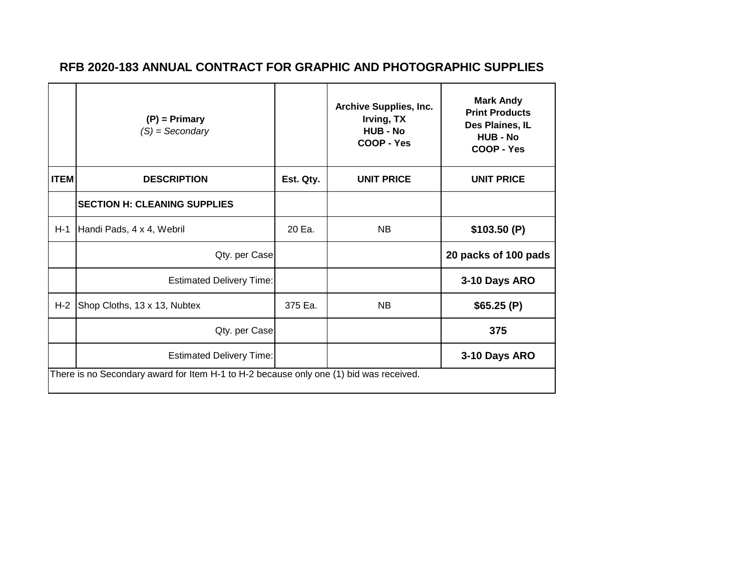|                                                                                        | $(P)$ = Primary<br>$(S) =$ Secondary |           | <b>Archive Supplies, Inc.</b><br>Irving, TX<br><b>HUB - No</b><br>COOP - Yes | <b>Mark Andy</b><br><b>Print Products</b><br>Des Plaines, IL<br><b>HUB - No</b><br>COOP - Yes |  |  |
|----------------------------------------------------------------------------------------|--------------------------------------|-----------|------------------------------------------------------------------------------|-----------------------------------------------------------------------------------------------|--|--|
| <b>ITEM</b>                                                                            | <b>DESCRIPTION</b>                   | Est. Qty. | <b>UNIT PRICE</b>                                                            | <b>UNIT PRICE</b>                                                                             |  |  |
|                                                                                        | <b>SECTION H: CLEANING SUPPLIES</b>  |           |                                                                              |                                                                                               |  |  |
| $H-1$                                                                                  | Handi Pads, 4 x 4, Webril            | 20 Ea.    | <b>NB</b>                                                                    | \$103.50(P)                                                                                   |  |  |
|                                                                                        | Qty. per Case                        |           |                                                                              | 20 packs of 100 pads                                                                          |  |  |
|                                                                                        | <b>Estimated Delivery Time:</b>      |           |                                                                              | 3-10 Days ARO                                                                                 |  |  |
| $H-2$                                                                                  | Shop Cloths, 13 x 13, Nubtex         | 375 Ea.   | <b>NB</b>                                                                    | \$65.25(P)                                                                                    |  |  |
|                                                                                        | Qty. per Case                        |           |                                                                              | 375                                                                                           |  |  |
|                                                                                        | <b>Estimated Delivery Time:</b>      |           |                                                                              | 3-10 Days ARO                                                                                 |  |  |
| There is no Secondary award for Item H-1 to H-2 because only one (1) bid was received. |                                      |           |                                                                              |                                                                                               |  |  |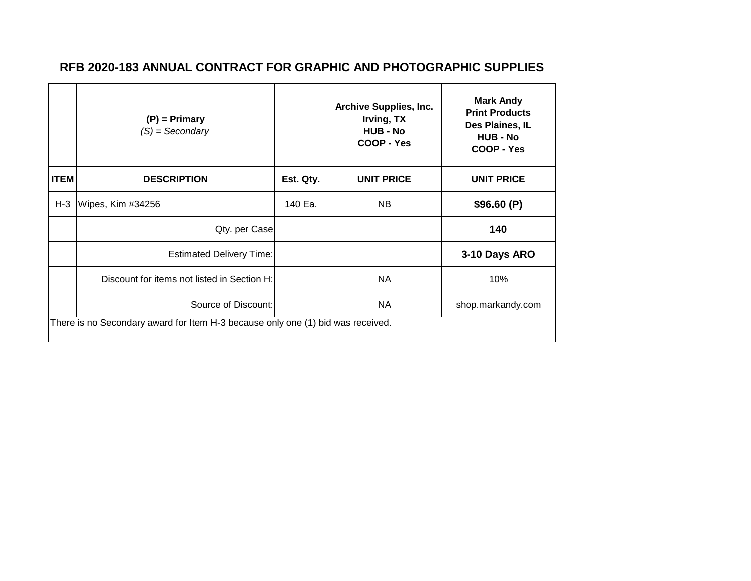|                                                                                 | $(P)$ = Primary<br>$(S) =$ Secondary        |           | <b>Archive Supplies, Inc.</b><br>Irving, TX<br><b>HUB - No</b><br>COOP - Yes | <b>Mark Andy</b><br><b>Print Products</b><br>Des Plaines, IL<br><b>HUB - No</b><br>COOP - Yes |  |
|---------------------------------------------------------------------------------|---------------------------------------------|-----------|------------------------------------------------------------------------------|-----------------------------------------------------------------------------------------------|--|
| <b>ITEM</b>                                                                     | <b>DESCRIPTION</b>                          | Est. Qty. | <b>UNIT PRICE</b>                                                            | <b>UNIT PRICE</b>                                                                             |  |
| $H-3$                                                                           | Wipes, Kim #34256                           | 140 Ea.   | <b>NB</b>                                                                    | \$96.60(P)                                                                                    |  |
|                                                                                 | Qty. per Case                               |           |                                                                              | 140                                                                                           |  |
|                                                                                 | <b>Estimated Delivery Time:</b>             |           |                                                                              | 3-10 Days ARO                                                                                 |  |
|                                                                                 | Discount for items not listed in Section H: |           | <b>NA</b>                                                                    | 10%                                                                                           |  |
|                                                                                 | Source of Discount:                         |           | NA                                                                           | shop.markandy.com                                                                             |  |
| There is no Secondary award for Item H-3 because only one (1) bid was received. |                                             |           |                                                                              |                                                                                               |  |